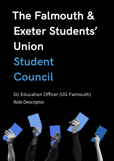**The Falmouth & Exeter Students' Union Student Council**

SU Education Officer (UG Falmouth) Role Descriptor

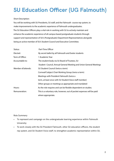## **SU Education Officer (UG Falmouth)**

## Short Description:

You will be working with SU Presidents, SU staff, and the Falmouth course rep system, to make improvements to the academic experience of Falmouth undergraduates. The SU Education Officers play a vital role in working with SU to actively maintain and enhance the academic experience of all campus based postgraduate students through support and representation of SU's (Postgraduate) Department Representatives alongside being an active member of SU's Student Council and Executive Committee.

| Status:            | Part-Time Officer                                                      |
|--------------------|------------------------------------------------------------------------|
| Elected:           | By secret ballot by all Falmouth and Exeter students                   |
| Term of Office:    | 1 Academic Year                                                        |
| Accountable to:    | The student body via SU Board of Trustees, SU                          |
|                    | Student Council, Annual General Meeting and Union General Meetings     |
| Member of/attends: | SU Student Council (twice a term)                                      |
|                    | Cornwall Subject Chair Working Group (twice a term)                    |
|                    | Meetings with President Falmouth (twice a                              |
|                    | term, at least once with SU Student Voice staff member)                |
|                    | Other groups or meetings as appropriate and mandated                   |
| Hours:             | As the role requires and can be flexible dependent on studies.         |
| Remuneration:      | This is a voluntary role, however, out of pocket expenses will be paid |
|                    | where appropriate.                                                     |

Role Summary:

- To represent and campaign on the undergraduate learning experience within Falmouth University;
- To work closely with the SU President Falmouth, other SU education officers, the student rep system, and SU Student Voice staff, to strengthen academic representation within SU.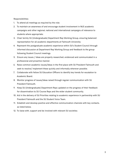Responsibilities:

- 1. To attend all meetings as required by the role;
- 2. To maintain an awareness of and encourage student involvement in NUS academic campaigns and other regional, national and international campaigns of relevance to students where appropriate;
- 3. Chair termly SU (Undergraduate) Department Rep Working Group, ensuring balanced representation for all academic departments at Falmouth University;
- 4. Represent the postgraduate academic experience within SU's Student Council through informed discussion at Department Rep Working Group and feedback to the group following Student Council meetings.
- 5. Ensure any issues / ideas are properly researched, evidenced and communicated in a professional and proactive manner.
- 6. Raise common academic issues/ideas in the first place with SU President Falmouth and seek to resolve/ implement these quickly and informally wherever possible.
- 7. Collaborate with fellow SU Education Officers to identify key trends for escalation to Academic Board.
- 8. Monitor progress of issues/ideas raised through regular communication with SU President Falmouth.
- 9. Keep SU (Undergraduate) Department Reps updated on the progress of their feedback for dissemination to SU Course Reps and the wider student community.
- 10. Aid in the delivery of SU Priorities relating to academic experience in partnership with SU President Falmouth and the SU Student Voice Team.
- 11. Establish and develop positive and effective communication channels with key contacts, as listed below.
- 12. To liaise with, support and be involved with relevant SU societies;